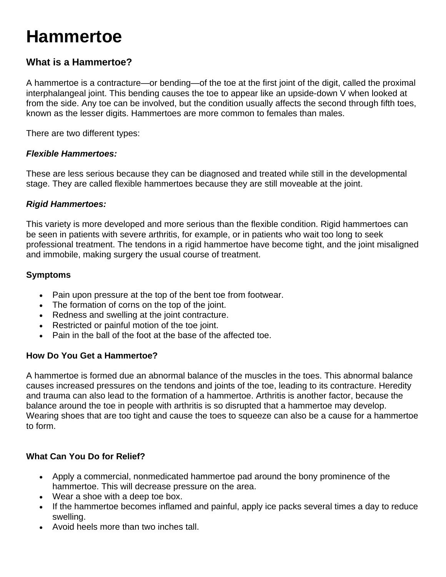# **Hammertoe**

### **What is a Hammertoe?**

A hammertoe is a contracture—or bending—of the toe at the first joint of the digit, called the proximal interphalangeal joint. This bending causes the toe to appear like an upside-down V when looked at from the side. Any toe can be involved, but the condition usually affects the second through fifth toes, known as the lesser digits. Hammertoes are more common to females than males.

There are two different types:

#### *Flexible Hammertoes:*

These are less serious because they can be diagnosed and treated while still in the developmental stage. They are called flexible hammertoes because they are still moveable at the joint.

#### *Rigid Hammertoes:*

This variety is more developed and more serious than the flexible condition. Rigid hammertoes can be seen in patients with severe arthritis, for example, or in patients who wait too long to seek professional treatment. The tendons in a rigid hammertoe have become tight, and the joint misaligned and immobile, making surgery the usual course of treatment.

#### **Symptoms**

- Pain upon pressure at the top of the bent toe from footwear.
- The formation of corns on the top of the joint.
- Redness and swelling at the joint contracture.
- Restricted or painful motion of the toe joint.
- Pain in the ball of the foot at the base of the affected toe.

#### **How Do You Get a Hammertoe?**

A hammertoe is formed due an abnormal balance of the muscles in the toes. This abnormal balance causes increased pressures on the tendons and joints of the toe, leading to its contracture. Heredity and trauma can also lead to the formation of a hammertoe. Arthritis is another factor, because the balance around the toe in people with arthritis is so disrupted that a hammertoe may develop. Wearing shoes that are too tight and cause the toes to squeeze can also be a cause for a hammertoe to form.

#### **What Can You Do for Relief?**

- Apply a commercial, nonmedicated hammertoe pad around the bony prominence of the hammertoe. This will decrease pressure on the area.
- Wear a shoe with a deep toe box.
- If the hammertoe becomes inflamed and painful, apply ice packs several times a day to reduce swelling.
- Avoid heels more than two inches tall.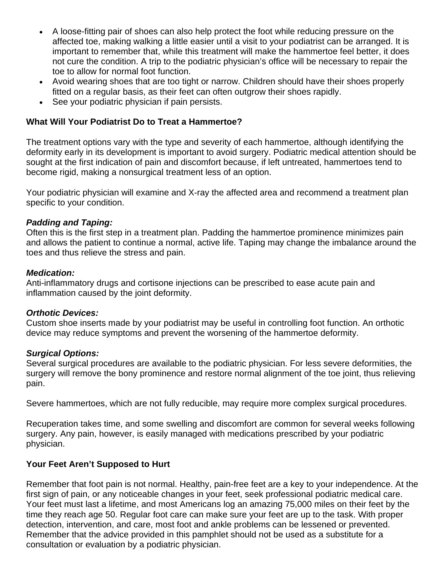- A loose-fitting pair of shoes can also help protect the foot while reducing pressure on the affected toe, making walking a little easier until a visit to your podiatrist can be arranged. It is important to remember that, while this treatment will make the hammertoe feel better, it does not cure the condition. A trip to the podiatric physician's office will be necessary to repair the toe to allow for normal foot function.
- Avoid wearing shoes that are too tight or narrow. Children should have their shoes properly fitted on a regular basis, as their feet can often outgrow their shoes rapidly.
- See your podiatric physician if pain persists.

#### **What Will Your Podiatrist Do to Treat a Hammertoe?**

The treatment options vary with the type and severity of each hammertoe, although identifying the deformity early in its development is important to avoid surgery. Podiatric medical attention should be sought at the first indication of pain and discomfort because, if left untreated, hammertoes tend to become rigid, making a nonsurgical treatment less of an option.

Your podiatric physician will examine and X-ray the affected area and recommend a treatment plan specific to your condition.

#### *Padding and Taping:*

Often this is the first step in a treatment plan. Padding the hammertoe prominence minimizes pain and allows the patient to continue a normal, active life. Taping may change the imbalance around the toes and thus relieve the stress and pain.

#### *Medication:*

Anti-inflammatory drugs and cortisone injections can be prescribed to ease acute pain and inflammation caused by the joint deformity.

#### *Orthotic Devices:*

Custom shoe inserts made by your podiatrist may be useful in controlling foot function. An orthotic device may reduce symptoms and prevent the worsening of the hammertoe deformity.

#### *Surgical Options:*

Several surgical procedures are available to the podiatric physician. For less severe deformities, the surgery will remove the bony prominence and restore normal alignment of the toe joint, thus relieving pain.

Severe hammertoes, which are not fully reducible, may require more complex surgical procedures.

Recuperation takes time, and some swelling and discomfort are common for several weeks following surgery. Any pain, however, is easily managed with medications prescribed by your podiatric physician.

#### **Your Feet Aren't Supposed to Hurt**

Remember that foot pain is not normal. Healthy, pain-free feet are a key to your independence. At the first sign of pain, or any noticeable changes in your feet, seek professional podiatric medical care. Your feet must last a lifetime, and most Americans log an amazing 75,000 miles on their feet by the time they reach age 50. Regular foot care can make sure your feet are up to the task. With proper detection, intervention, and care, most foot and ankle problems can be lessened or prevented. Remember that the advice provided in this pamphlet should not be used as a substitute for a consultation or evaluation by a podiatric physician.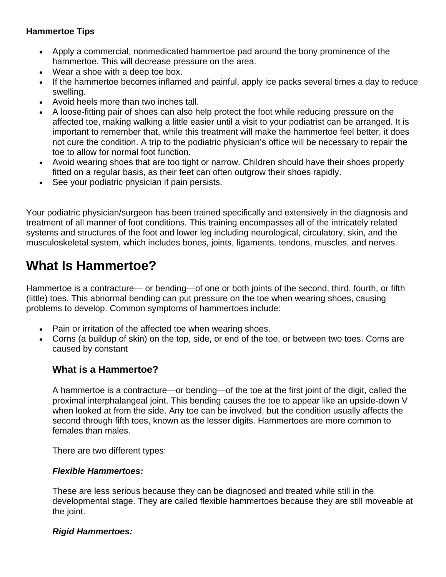#### **Hammertoe Tips**

- Apply a commercial, nonmedicated hammertoe pad around the bony prominence of the hammertoe. This will decrease pressure on the area.
- Wear a shoe with a deep toe box.
- If the hammertoe becomes inflamed and painful, apply ice packs several times a day to reduce swelling.
- Avoid heels more than two inches tall.
- A loose-fitting pair of shoes can also help protect the foot while reducing pressure on the affected toe, making walking a little easier until a visit to your podiatrist can be arranged. It is important to remember that, while this treatment will make the hammertoe feel better, it does not cure the condition. A trip to the podiatric physician's office will be necessary to repair the toe to allow for normal foot function.
- Avoid wearing shoes that are too tight or narrow. Children should have their shoes properly fitted on a regular basis, as their feet can often outgrow their shoes rapidly.
- See your podiatric physician if pain persists.

Your podiatric physician/surgeon has been trained specifically and extensively in the diagnosis and treatment of all manner of foot conditions. This training encompasses all of the intricately related systems and structures of the foot and lower leg including neurological, circulatory, skin, and the musculoskeletal system, which includes bones, joints, ligaments, tendons, muscles, and nerves.

## **What Is Hammertoe?**

Hammertoe is a contracture— or bending—of one or both joints of the second, third, fourth, or fifth (little) toes. This abnormal bending can put pressure on the toe when wearing shoes, causing problems to develop. Common symptoms of hammertoes include:

- Pain or irritation of the affected toe when wearing shoes.
- Corns (a buildup of skin) on the top, side, or end of the toe, or between two toes. Corns are caused by constant

### **What is a Hammertoe?**

A hammertoe is a contracture—or bending—of the toe at the first joint of the digit, called the proximal interphalangeal joint. This bending causes the toe to appear like an upside-down V when looked at from the side. Any toe can be involved, but the condition usually affects the second through fifth toes, known as the lesser digits. Hammertoes are more common to females than males.

There are two different types:

#### *Flexible Hammertoes:*

These are less serious because they can be diagnosed and treated while still in the developmental stage. They are called flexible hammertoes because they are still moveable at the joint.

#### *Rigid Hammertoes:*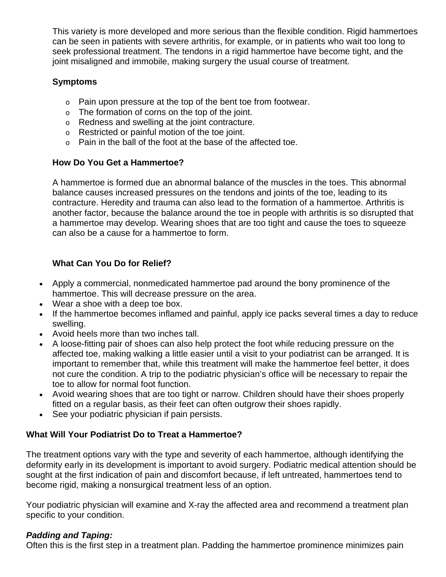This variety is more developed and more serious than the flexible condition. Rigid hammertoes can be seen in patients with severe arthritis, for example, or in patients who wait too long to seek professional treatment. The tendons in a rigid hammertoe have become tight, and the joint misaligned and immobile, making surgery the usual course of treatment.

#### **Symptoms**

- o Pain upon pressure at the top of the bent toe from footwear.
- o The formation of corns on the top of the joint.
- o Redness and swelling at the joint contracture.
- o Restricted or painful motion of the toe joint.
- $\circ$  Pain in the ball of the foot at the base of the affected toe.

#### **How Do You Get a Hammertoe?**

A hammertoe is formed due an abnormal balance of the muscles in the toes. This abnormal balance causes increased pressures on the tendons and joints of the toe, leading to its contracture. Heredity and trauma can also lead to the formation of a hammertoe. Arthritis is another factor, because the balance around the toe in people with arthritis is so disrupted that a hammertoe may develop. Wearing shoes that are too tight and cause the toes to squeeze can also be a cause for a hammertoe to form.

#### **What Can You Do for Relief?**

- Apply a commercial, nonmedicated hammertoe pad around the bony prominence of the hammertoe. This will decrease pressure on the area.
- Wear a shoe with a deep toe box.
- If the hammertoe becomes inflamed and painful, apply ice packs several times a day to reduce swelling.
- Avoid heels more than two inches tall.
- A loose-fitting pair of shoes can also help protect the foot while reducing pressure on the affected toe, making walking a little easier until a visit to your podiatrist can be arranged. It is important to remember that, while this treatment will make the hammertoe feel better, it does not cure the condition. A trip to the podiatric physician's office will be necessary to repair the toe to allow for normal foot function.
- Avoid wearing shoes that are too tight or narrow. Children should have their shoes properly fitted on a regular basis, as their feet can often outgrow their shoes rapidly.
- See your podiatric physician if pain persists.

#### **What Will Your Podiatrist Do to Treat a Hammertoe?**

The treatment options vary with the type and severity of each hammertoe, although identifying the deformity early in its development is important to avoid surgery. Podiatric medical attention should be sought at the first indication of pain and discomfort because, if left untreated, hammertoes tend to become rigid, making a nonsurgical treatment less of an option.

Your podiatric physician will examine and X-ray the affected area and recommend a treatment plan specific to your condition.

#### *Padding and Taping:*

Often this is the first step in a treatment plan. Padding the hammertoe prominence minimizes pain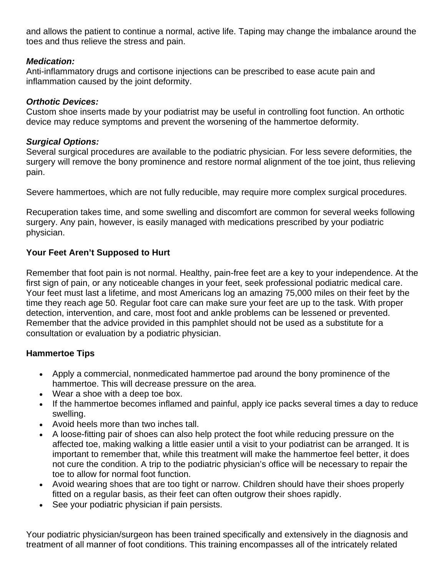and allows the patient to continue a normal, active life. Taping may change the imbalance around the toes and thus relieve the stress and pain.

#### *Medication:*

Anti-inflammatory drugs and cortisone injections can be prescribed to ease acute pain and inflammation caused by the joint deformity.

#### *Orthotic Devices:*

Custom shoe inserts made by your podiatrist may be useful in controlling foot function. An orthotic device may reduce symptoms and prevent the worsening of the hammertoe deformity.

#### *Surgical Options:*

Several surgical procedures are available to the podiatric physician. For less severe deformities, the surgery will remove the bony prominence and restore normal alignment of the toe joint, thus relieving pain.

Severe hammertoes, which are not fully reducible, may require more complex surgical procedures.

Recuperation takes time, and some swelling and discomfort are common for several weeks following surgery. Any pain, however, is easily managed with medications prescribed by your podiatric physician.

### **Your Feet Aren't Supposed to Hurt**

Remember that foot pain is not normal. Healthy, pain-free feet are a key to your independence. At the first sign of pain, or any noticeable changes in your feet, seek professional podiatric medical care. Your feet must last a lifetime, and most Americans log an amazing 75,000 miles on their feet by the time they reach age 50. Regular foot care can make sure your feet are up to the task. With proper detection, intervention, and care, most foot and ankle problems can be lessened or prevented. Remember that the advice provided in this pamphlet should not be used as a substitute for a consultation or evaluation by a podiatric physician.

### **Hammertoe Tips**

- Apply a commercial, nonmedicated hammertoe pad around the bony prominence of the hammertoe. This will decrease pressure on the area.
- Wear a shoe with a deep toe box.
- If the hammertoe becomes inflamed and painful, apply ice packs several times a day to reduce swelling.
- Avoid heels more than two inches tall.
- A loose-fitting pair of shoes can also help protect the foot while reducing pressure on the affected toe, making walking a little easier until a visit to your podiatrist can be arranged. It is important to remember that, while this treatment will make the hammertoe feel better, it does not cure the condition. A trip to the podiatric physician's office will be necessary to repair the toe to allow for normal foot function.
- Avoid wearing shoes that are too tight or narrow. Children should have their shoes properly fitted on a regular basis, as their feet can often outgrow their shoes rapidly.
- See your podiatric physician if pain persists.

Your podiatric physician/surgeon has been trained specifically and extensively in the diagnosis and treatment of all manner of foot conditions. This training encompasses all of the intricately related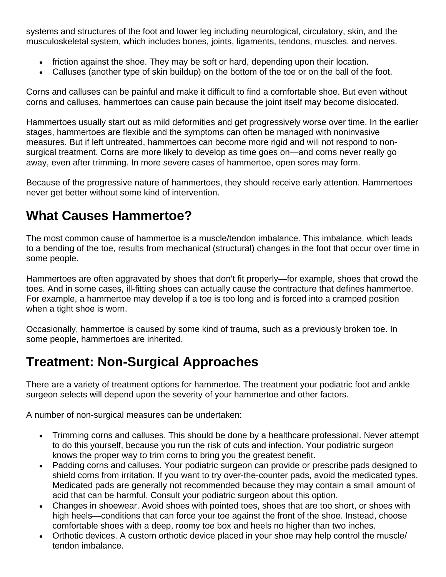systems and structures of the foot and lower leg including neurological, circulatory, skin, and the musculoskeletal system, which includes bones, joints, ligaments, tendons, muscles, and nerves.

- friction against the shoe. They may be soft or hard, depending upon their location.
- Calluses (another type of skin buildup) on the bottom of the toe or on the ball of the foot.

Corns and calluses can be painful and make it difficult to find a comfortable shoe. But even without corns and calluses, hammertoes can cause pain because the joint itself may become dislocated.

Hammertoes usually start out as mild deformities and get progressively worse over time. In the earlier stages, hammertoes are flexible and the symptoms can often be managed with noninvasive measures. But if left untreated, hammertoes can become more rigid and will not respond to nonsurgical treatment. Corns are more likely to develop as time goes on—and corns never really go away, even after trimming. In more severe cases of hammertoe, open sores may form.

Because of the progressive nature of hammertoes, they should receive early attention. Hammertoes never get better without some kind of intervention.

# **What Causes Hammertoe?**

The most common cause of hammertoe is a muscle/tendon imbalance. This imbalance, which leads to a bending of the toe, results from mechanical (structural) changes in the foot that occur over time in some people.

Hammertoes are often aggravated by shoes that don't fit properly—for example, shoes that crowd the toes. And in some cases, ill-fitting shoes can actually cause the contracture that defines hammertoe. For example, a hammertoe may develop if a toe is too long and is forced into a cramped position when a tight shoe is worn.

Occasionally, hammertoe is caused by some kind of trauma, such as a previously broken toe. In some people, hammertoes are inherited.

# **Treatment: Non-Surgical Approaches**

There are a variety of treatment options for hammertoe. The treatment your podiatric foot and ankle surgeon selects will depend upon the severity of your hammertoe and other factors.

A number of non-surgical measures can be undertaken:

- Trimming corns and calluses. This should be done by a healthcare professional. Never attempt to do this yourself, because you run the risk of cuts and infection. Your podiatric surgeon knows the proper way to trim corns to bring you the greatest benefit.
- Padding corns and calluses. Your podiatric surgeon can provide or prescribe pads designed to shield corns from irritation. If you want to try over-the-counter pads, avoid the medicated types. Medicated pads are generally not recommended because they may contain a small amount of acid that can be harmful. Consult your podiatric surgeon about this option.
- Changes in shoewear. Avoid shoes with pointed toes, shoes that are too short, or shoes with high heels—conditions that can force your toe against the front of the shoe. Instead, choose comfortable shoes with a deep, roomy toe box and heels no higher than two inches.
- Orthotic devices. A custom orthotic device placed in your shoe may help control the muscle/ tendon imbalance.